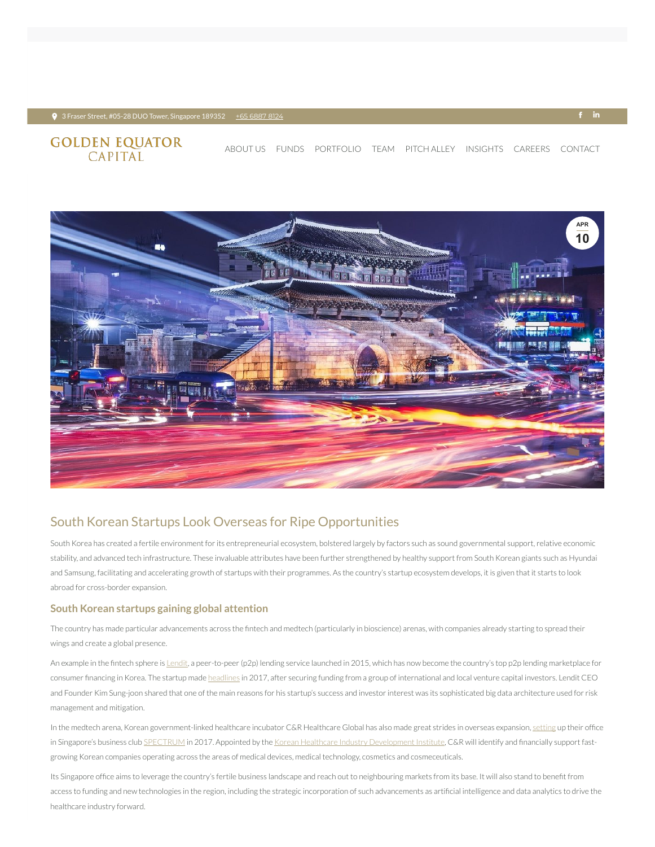#### $\bullet$  3 Fraser Street, #05-28 DUO Tower, Singapore 189352 + <u>+65 [6887](tel:+65 6887 8124) 8124</u> +  $\bullet$  +  $\bullet$  +  $\bullet$  +  $\bullet$  +  $\bullet$  +  $\bullet$  +  $\bullet$  +  $\bullet$  +  $\bullet$  +  $\bullet$  +  $\bullet$  +  $\bullet$  +  $\bullet$  +  $\bullet$  +  $\bullet$  +  $\bullet$  +  $\bullet$  +  $\bullet$  +  $\bullet$  +  $\bullet$  +  $\bullet$

# **GOLDEN EQUATOR**<br>CAPITAL

## South Korean Startups Look Overseas for Ripe Opportunities

South Korea has created a fertile environment for its entrepreneurial ecosystem, bolstered largely by factors such as sound governmental support, relative economic stability, and advanced tech infrastructure. These invaluable attributes have been further strengthened by healthy support from South Korean giants such as Hyundai and Samsung, facilitating and accelerating growth of startups with their programmes. As the country's startup ecosystem develops, it is given that it starts to look abroad for cross-border expansion.

The country has made particular advancements across the fintech and medtech (particularly in bioscience) arenas, with companies already starting to spread their wings and create a global presence.

### **South Korean startups gaining global attention**

An example in the fintech sphere is [Lendit,](https://www.crunchbase.com/organization/lendit-2) a peer-to-peer (p2p) lending service launched in 2015, which has now become the country's top p2p lending marketplace for consumer financing in Korea. The startup made [headlines](http://koreajoongangdaily.joins.com/news/article/article.aspx?aid=3033981) in 2017, after securing funding from a group of international and local venture capital investors. Lendit CEO and Founder Kim Sung-joon shared that one of the main reasons for his startup's success and investor interest was its sophisticated big data architecture used for risk management and mitigation.

In the medtech arena, Korean government-linked healthcare incubator C&R Healthcare Global has also made great strides in overseas expansion, [setting](http://www.straitstimes.com/business/companies-markets/help-for-s-korean-medtech-firms-to-expand) up their office in Singapore's business club [SPECTRUM](https://www.spectrum.global/) in 2017. Appointed by the Korean Healthcare Industry [Development](http://www.khidi.or.kr/eps) Institute, C&R will identify and financially support fastgrowing Korean companies operating across the areas of medical devices, medical technology, cosmetics and cosmeceuticals.

Its Singapore office aims to leverage the country's fertile business landscape and reach out to neighbouring markets from its base. It will also stand to benefit from access to funding and new technologies in the region, including the strategic incorporation of such advancements as artificial intelligence and data analytics to drive the healthcare industry forward.



[ABOUT](https://www.goldenequatorcapital.com/) US [FUNDS](https://www.goldenequatorcapital.com/funds/) [PORTFOLIO](https://www.goldenequatorcapital.com/portfolio-2/) [TEAM](https://www.goldenequatorcapital.com/team/) [PITCH](https://www.goldenequatorcapital.com/pitch-alley/) ALLEY INSIGHTS [CAREERS](https://www.goldenequatorcapital.com/careers/) [CONTACT](https://www.goldenequatorcapital.com/contact/)